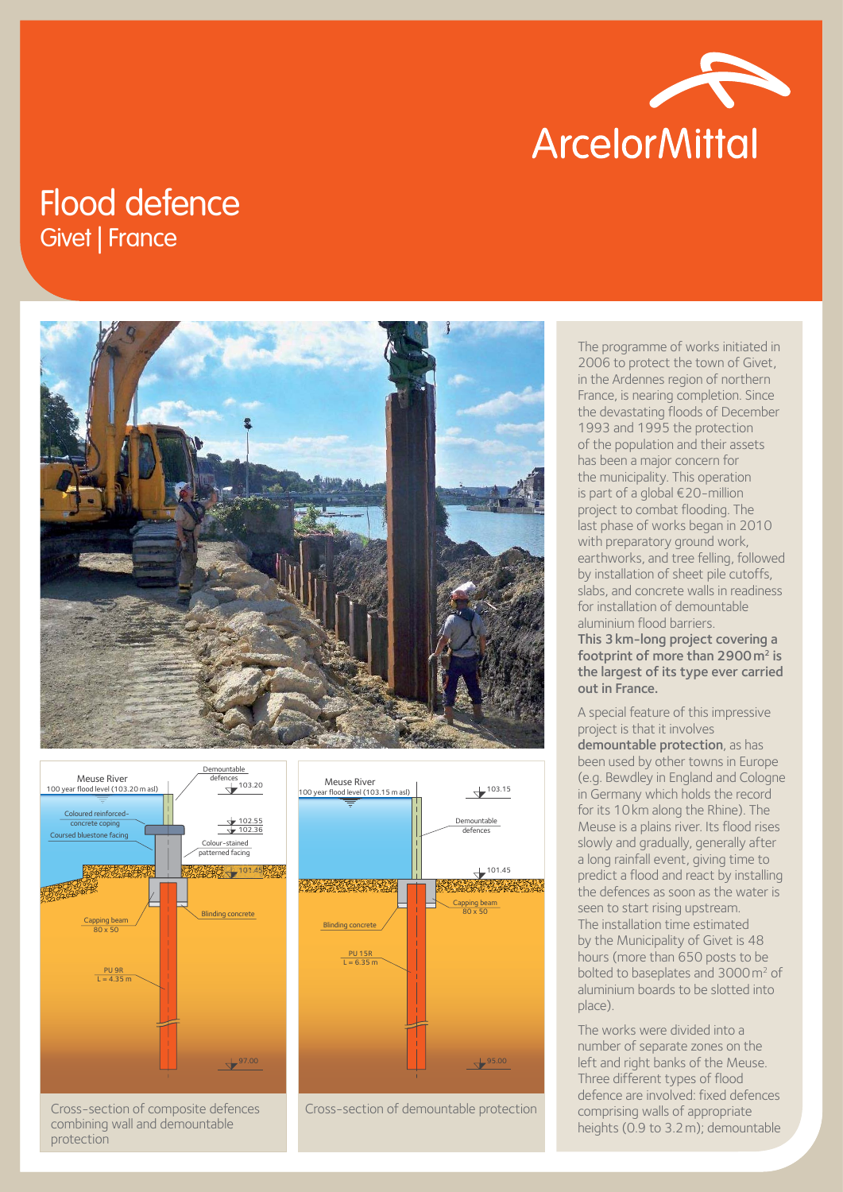

## Flood defence Givet | France





Cross-section of composite defences combining wall and demountable protection



Cross-section of demountable protection

The programme of works initiated in 2006 to protect the town of Givet, in the Ardennes region of northern France, is nearing completion. Since the devastating floods of December 1993 and 1995 the protection of the population and their assets has been a major concern for the municipality. This operation is part of a global €20-million project to combat flooding. The last phase of works began in 2010 with preparatory ground work, earthworks, and tree felling, followed by installation of sheet pile cutoffs, slabs, and concrete walls in readiness for installation of demountable aluminium flood barriers.

This 3km-long project covering a footprint of more than  $2900 \,\mathrm{m}^2$  is the largest of its type ever carried out in France.

A special feature of this impressive project is that it involves demountable protection, as has been used by other towns in Europe (e.g. Bewdley in England and Cologne in Germany which holds the record for its 10km along the Rhine). The Meuse is a plains river. Its flood rises slowly and gradually, generally after a long rainfall event, giving time to predict a flood and react by installing the defences as soon as the water is seen to start rising upstream. The installation time estimated by the Municipality of Givet is 48 hours (more than 650 posts to be bolted to baseplates and 3000 m<sup>2</sup> of aluminium boards to be slotted into place).

The works were divided into a number of separate zones on the left and right banks of the Meuse. Three different types of flood defence are involved: fixed defences comprising walls of appropriate heights (0.9 to 3.2m); demountable